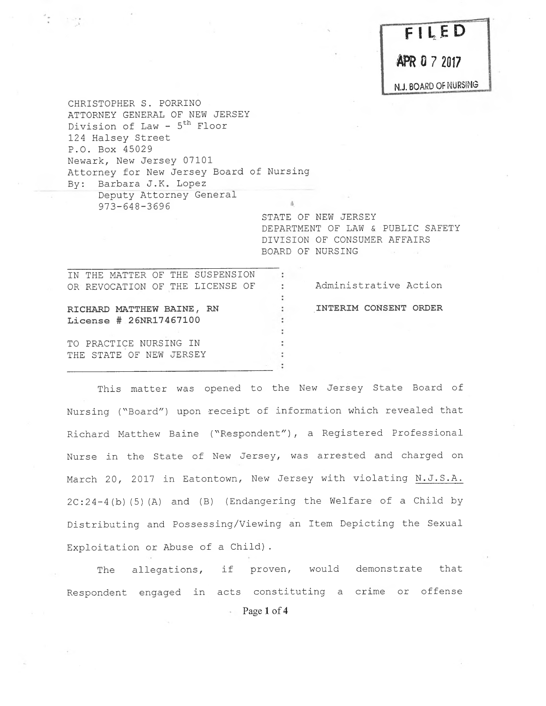$FILED$ 

**FR U** / 2017

N.J. BOARD OF NURSING

CHRISTOPHER S. PORRINO ATTORNEY GENERAL OF NEW JERSEY Division of Law -  $5<sup>th</sup>$  Floor 124 Halsey Street P.O. Box 45029 <sup>N</sup>ewark, New Jersey 07101 <sup>A</sup>ttorney for New Jersey Board of Nursing By: Barbara J.K. Lopez <sup>D</sup>eputy Attorney General

> STATE OF NEW JERSEY DEPARTMENT OF LAW & PUBLIC SAFETY DIVISION OF CONSUMER AFFAIRS BOARD OF NURSING

IN THE MATTER OF THE SUSPENSION  $\sim 10^{-1}$ OR REVOCATION OF THE LICENSE OF : Administrative Action RICHARD MATTHEW BRINE, RN ,INTERIM CONSENT ORDER <sup>L</sup>icense # 26NR17467100 TO PRACTICE NURSING IN THE STATE OF NEW JERSEY

973-648-3696

<sup>T</sup>his matter was opened to the New Jersey State Board of <sup>N</sup>ursing ("Board") upon receipt of information which revealed that Richard Matthew Baine ("Respondent"), a Registered Professional <sup>N</sup>urse in the State of New Jersey, was arrested and charged on <sup>M</sup>arch 20, 2017 in Eatontown, New Jersey with violating N.J.S.A. <sup>2</sup>C:24-4 (b) (5) (A) and (B) (Endangering the Welfare of a Child by <sup>D</sup>istributing and Possessing/Viewing an Item Depicting the Sexual <sup>E</sup>xploitation or Abuse of a Child).

<sup>T</sup>he allegations, if proven, would demonstrate that <sup>R</sup>espondent engaged in acts constituting a crime or offense Page 1 of 4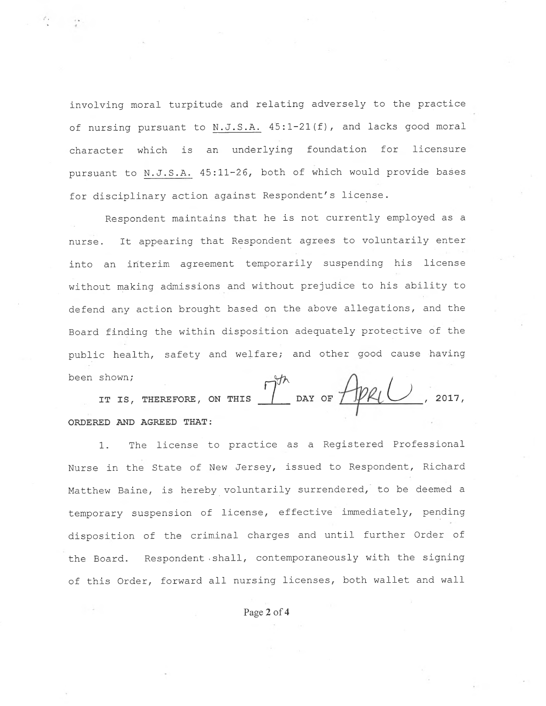involving moral turpitude and relating adversely to the practice <sup>o</sup>f nursing pursuant to <sup>N</sup>.J.S.A. 45:1-21(f), and lacks good moral <sup>c</sup>haracter which is an underlying foundation for licensure <sup>p</sup>ursuant to N.J.S.A. 45:11-26, both of which would provide bases <sup>f</sup>or disciplinary action against Respondent's license.

<sup>R</sup>espondent maintains that he is not currently employed as <sup>a</sup> <sup>n</sup>urse. It appearing that Respondent agrees to voluntarily enter into an interim agreement temporarily suspending his license <sup>w</sup>ithout making admissions and without prejudice to his ability to <sup>d</sup>efend any action brought based on the above allegations, and the <sup>B</sup>oard finding the within disposition adequately protective of the <sup>p</sup>ublic health, safety and welfare; and other good cause having been shown;

Shown;<br>IT IS, THEREFORE, ON THIS  $\int_{0}^{\pi}$  DAY OF  $\int_{\mathcal{P}}$ PRIU, ORDERED AND AGREED THAT:

1. The license to practice as a Registered Professional <sup>N</sup>urse in the State of New Jersey, issued to Respondent, Richard <sup>M</sup>atthew Baine, is hereby voluntarily surrendered, to be deemed <sup>a</sup> <sup>t</sup>emporary suspension of license, effective immediately, pending <sup>d</sup>isposition of the criminal charges and until further Order of <sup>t</sup>he Board. Respondent shall, contemporaneously with the signing <sup>o</sup>f this Order, forward all nursing licenses, both wallet and wall

<sup>P</sup>age 2 of 4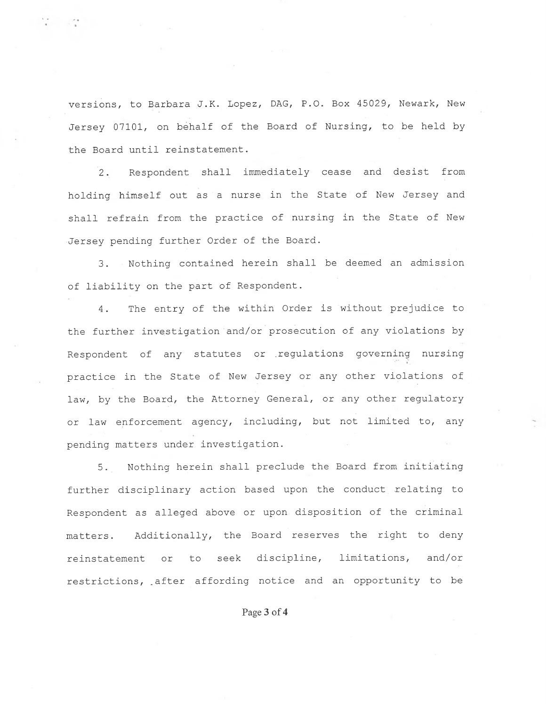versions, to Barbara J.K. Lopez, DAG, P.O. Box 45029, Newark, New <sup>J</sup>ersey 07101, on behalf of the Board of Nursing, to be held by the Board until reinstatement.

<sup>2</sup>. Respondent shall immediately cease and desist from <sup>h</sup>olding himself out as a nurse in the State of New Jersey and <sup>s</sup>hall refrain from the practice of nursing in the State of New <sup>J</sup>ersey pending further Order of the Board.

3. Nothing contained herein shall be deemed an admission <sup>o</sup>f liability on the part of Respondent.

4. The entry of the within Order is without prejudice to <sup>t</sup>he further investigation and/or prosecution of any violations by <sup>R</sup>espondent of any statutes or .regulations governing nursing <sup>p</sup>ractice in the State of New Jersey or any other violations of law, by the Board, the Attorney General, or any other regulatory or law enforcement agency, including, but not limited to, any <sup>p</sup>ending matters under investigation.

<sup>5</sup>. Nothing herein shall preclude the Board from initiating further disciplinary action based upon the conduct relating to <sup>R</sup>espondent as alleged above or upon disposition of the criminal <sup>m</sup>atters. Additionally, the Board reserves the right to deny <sup>r</sup>einstatement or to seek discipline, limitations, and/or restrictions, after affording notice and an opportunity to be

Page 3 of 4